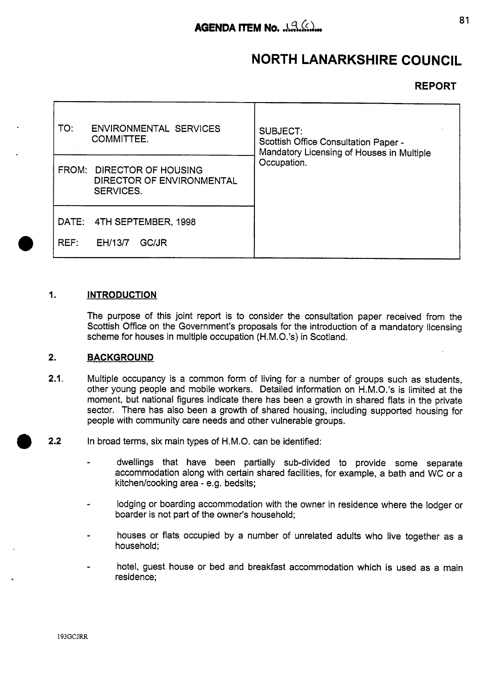# **NORTH LANARKSHIRE COUNCIL**

# **REPORT**

| <b>ENVIRONMENTAL SERVICES</b><br>TO:<br><b>COMMITTEE.</b>                  | SUBJECT:<br>Scottish Office Consultation Paper -<br>Mandatory Licensing of Houses in Multiple |
|----------------------------------------------------------------------------|-----------------------------------------------------------------------------------------------|
| FROM: DIRECTOR OF HOUSING<br>DIRECTOR OF ENVIRONMENTAL<br><b>SERVICES.</b> | Occupation.                                                                                   |
| DATE: 4TH SEPTEMBER, 1998<br>REF:<br>EH/13/7<br>GC/JR                      |                                                                                               |

#### **I. INTRODUCTION**

The purpose of this joint report is to consider the consultation paper received from the Scottish Office on the Government's proposals for the introduction of a mandatory licensing scheme for houses in multiple occupation (H.M.O.'s) in Scotland.

#### **2. BACKGROUND**

- **2.1.**  Multiple occupancy is a common form of living for a number of groups such as students, other young people and mobile workers. Detailed information on H.M.O.'s is limited at the moment, but national figures indicate there has been a growth in shared flats in the private sector. There has also been a growth of shared housing, including supported housing for people with community care needs and other vulnerable groups.
- **2.2**  In broad terms, six main types of H.M.O. can be identified:
	- dwellings that have been partially sub-divided to provide some separate accommodation along with certain shared facilities, for example, a bath and WC or a kitchen/cooking area - e.g. bedsits;
	- lodging or boarding accommodation with the owner in residence where the lodger or boarder is not part of the owner's household;
	- houses or flats occupied by a number of unrelated adults who live together as a household;
	- hotel, guest house or bed and breakfast accommodation which is used as a main residence;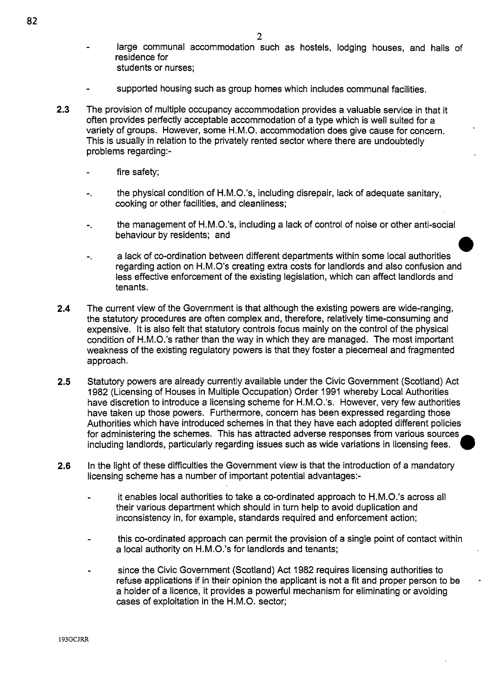- large communal accommodation such as hostels, lodging houses, and halls of residence for students or nurses;
- supported housing such as group homes which includes communal facilities.
- **2.3** The provision of multiple occupancy accommodation provides a valuable service in that it often provides perfectly acceptable accommodation of a type which is well suited for a variety of groups. However, some H.M.O. accommodation does give cause for concern. This is usually in relation to the privately rented sector where there are undoubtedly problems regarding:
	- fire safety;
	- the physical condition of H.M.O.'s, including disrepair, lack of adequate sanitary, cooking or other facilities, and cleanliness;
	- the management of H.M.O.'s, including a lack of control of noise or other anti-social **behaviour by residents; and <br>
	- a lack of co-ordination between different departments within some local authorities**
	- regarding action on H.M.O's creating extra costs for landlords and also confusion and less effective enforcement of the existing legislation, which can affect landlords and tenants.
- **2.4** The current view of the Government is that although the existing powers are wide-ranging, the statutory procedures are often complex and, therefore, relatively time-consuming and expensive. It is also felt that statutory controls focus mainly on the control of the physical condition of H.M.O.'s rather than the way in which they are managed. The most important weakness of the existing regulatory powers is that they foster a piecemeal and fragmented approach.
- **2.5** Statutory powers are already currently available under the Civic Government (Scotland) Act 1982 (Licensing of Houses in Multiple Occupation) Order 1991 whereby Local Authorities have discretion to introduce a licensing scheme for H.M.O.'s. However, very few authorities have taken up those powers. Furthermore, concern has been expressed regarding those Authorities which have introduced schemes in that they have each adopted different policies for administering the schemes. This has attracted adverse responses from various sources including landlords, particularly regarding issues such as wide variations in licensing fees. *0*
- **2.6** In the light of these difficulties the Government view is that the introduction of a mandatory licensing scheme has a number of important potential advantages:
	- it enables local authorities to take a co-ordinated approach to H.M.O.'s across all their various department which should in turn help to avoid duplication and inconsistency in, for example, standards required and enforcement action;
	- this co-ordinated approach can permit the provision of a single point of contact within a local authority on H.M.O.'s for landlords and tenants;
	- since the Civic Government (Scotland) Act 1982 requires licensing authorities to refuse applications if in their opinion the applicant is not a fit and proper person to be a holder of a licence, it provides a powerful mechanism for eliminating or avoiding cases of exploitation in the H.M.O. sector;

*e*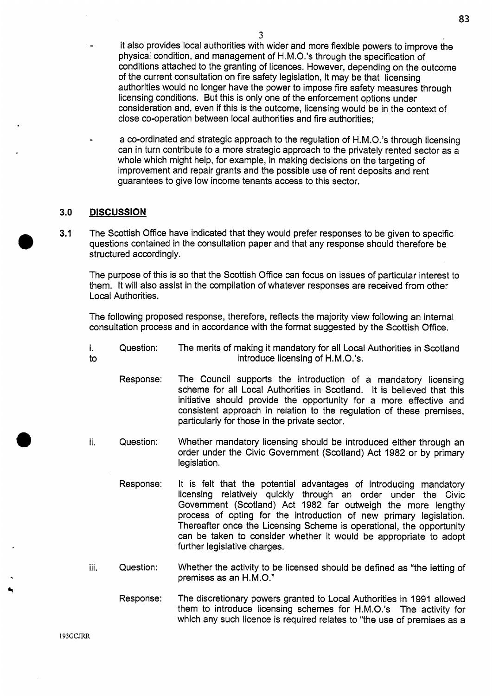**83** 

a co-ordinated and strategic approach to the regulation of H.M.O.'s through licensing can in turn contribute to a more strategic approach to the privately rented sector as a whole which might help, for example, in making decisions on the targeting of improvement and repair grants and the possible use of rent deposits and rent guarantees to give low income tenants access to this sector.

# **3.0 DISCUSSION**

**3.1** The Scottish Office have indicated that they would prefer responses to be given to specific questions contained in the consultation paper and that any response should therefore be **e**  structured accordingly.

The purpose of this is so that the Scottish Office can focus on issues of particular interest to them. It will also assist in the compilation of whatever responses are received from other Local Authorities.

The following proposed response, therefore, reflects the majority view following an internal consultation process and in accordance with the format suggested by the Scottish Office.

- i.<br>to introduce licensing of H.M.O.'s. Question: The merits of making it mandatory for all Local Authorities in Scotland
	- Response: The Council supports the introduction of a mandatory licensing scheme for all Local Authorities in Scotland. It is believed that this initiative should provide the opportunity for a more effective and consistent approach in relation to the regulation of these premises, particularly for those in the private sector.
- ii. Question: Whether mandatory licensing should be introduced either through an order under the Civic Government (Scotland) Act 1982 or by primary legislation.
	- Response: It is felt that the potential advantages of introducing mandatory licensing relatively quickly through an order under the Civic Government (Scotland) Act 1982 far outweigh the more lengthy process of opting for the introduction of new primary legislation. Thereafter once the Licensing Scheme is operational, the opportunity can be taken to consider whether it would be appropriate to adopt further legislative charges.
- iii. Question: Whether the activity to be licensed should be defined as "the letting of premises as an H.M.O."
	- Response: The discretionary powers granted to Local Authorities in 1991 allowed them to introduce licensing schemes for H.M.O.'s The activity for which any such licence is required relates to "the use of premises as a

**I93GCJRR**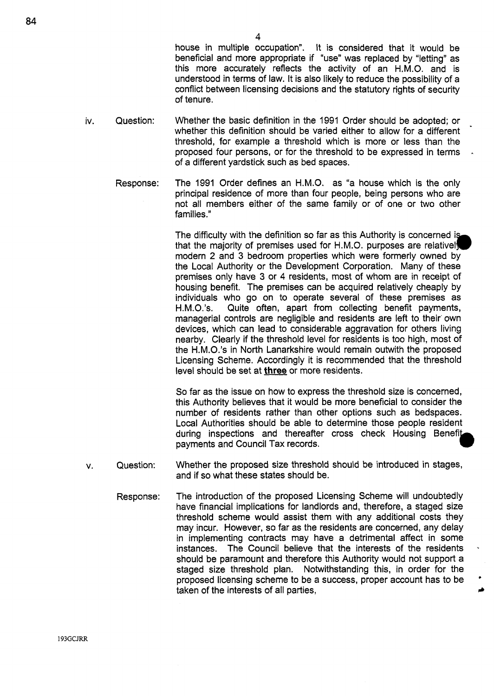4<br>house in multiple occupation". It is considered that it would be beneficial and more appropriate if "use" was replaced by "letting" as this more accurately reflects the activity of an H.M.O. and is understood in terms of law. It is also likely to reduce the possibility of a conflict between licensing decisions and the statutory rights of security of tenure.

-

- iv. Question: Whether the basic definition in the 1991 Order should be adopted; or whether this definition should be varied either to allow for a different threshold, for example a threshold which **is** more or less than the proposed four persons, or for the threshold to be expressed in terms of a different yardstick such as bed spaces.
	- Response: The 1991 Order defines an H.M.O. as "a house which is the only principal residence of more than four people, being persons who are not all members either of the same family or of one or two other families."

The difficulty with the definition so far as this Authority is concerned is that the majority of premises used for H.M.O. purposes are relatively modern 2 and 3 bedroom properties which were formerly owned by the Local Authority or the Development Corporation. Many of these premises only have 3 or **4** residents, most of whom are in receipt of housing benefit. The premises can be acquired relatively cheaply by individuals who go on to operate several of these premises as H.M.O.'s. Quite often, apart from collecting benefit payments. Quite often, apart from collecting benefit payments, managerial controls are negligible and residents are left to their' own devices, which can lead to considerable aggravation for others living nearby. Clearly if the threshold level for residents is too high, most of the H.M.O.'s in North Lanarkshire would remain outwith the proposed Licensing Scheme. Accordingly it is recommended that the threshold level should be set at **three** or more residents.

So far as the issue on how to express the threshold size is concerned, this Authority believes that it would be more beneficial to consider the number of residents rather than other options such as bedspaces. Local Authorities should be able to determine those people resident during inspections and thereafter cross check Housing Benefit payments and Council Tax records.

- V. Question: Whether the proposed size threshold should be introduced in stages, and if so what these states should be.
	- Response: The introduction of the proposed Licensing Scheme will undoubtedly have financial implications for landlords and, therefore, a staged size threshold scheme would assist them with any additional costs they may incur. However, so far as the residents are concerned, any delay in implementing contracts may have a detrimental affect in some instances. The Council believe that the interests of the residents should be paramount and therefore this Authority would not support a staged size threshold plan. Notwithstanding this, in order for the proposed licensing scheme to be a success, proper account has to be taken of the interests of all parties,

**193GCJRR**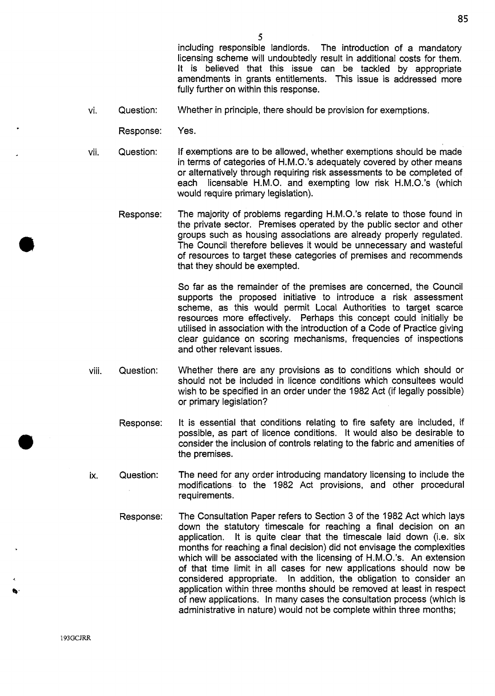including responsible landlords. The introduction of a mandatory licensing scheme will undoubtedly result in additional costs for them. It is believed that this issue can be tackled by appropriate amendments in grants entitlements. This issue is addressed more fully further on within this response.

**85** 

- vi. Question: Whether in principle, there should be provision for exemptions.
	- Response: Yes.
- vii. Question: If exemptions are to be allowed, whether exemptions should be made in terms of categories of H.M.O.'s adequately covered by other means or alternatively through requiring risk assessments to be completed of each licensable H.M.O. and exempting low risk H.M.O.'s (which would require primary legislation).
	- Response: The majority of problems regarding H.M.O.'s relate to those found in the private sector. Premises operated by the public sector and other groups such as housing associations are already properly regulated. The Council therefore believes it would be unnecessary and wasteful of resources to target these categories of premises and recommends that they should be exempted.

So far as the remainder of the premises are concerned, the Council supports the proposed initiative to introduce a risk assessment scheme, as this would permit Local Authorities to target scarce resources more effectively. Perhaps this concept could initially be utilised in association with the introduction of a Code of Practice giving clear guidance on scoring mechanisms, frequencies of inspections and other relevant issues.

- viii. Question: Whether there are any provisions as to conditions which should or should not be included in licence conditions which consultees would wish to be specified in an order under the 1982 Act (if legally possible) or primary legislation?
	- Response: It is essential that conditions relating to fire safety are included, if possible, as part of licence conditions. It would also be desirable to consider the inclusion of controls relating to the fabric and amenities of the premises.
- ix. Question: The need for any order introducing mandatory licensing to include the modifications to the 1982 Act provisions, and other procedural requirements.
	- Response: The Consultation Paper refers to Section 3 of the 1982 Act which lays down the statutory timescale for reaching a final decision on an application. It is quite clear that the timescale laid down (i.e. six months for reaching a final decision) did not envisage the complexities which will be associated with the licensing of H.M.O.'s. An extension of that time limit in all cases for new applications should now be considered appropriate. In addition, the obligation to consider an application within three months should be removed at least in respect of new applications. In many cases the consultation process (which is administrative in nature) would not be complete within three months;

**193GCJRR**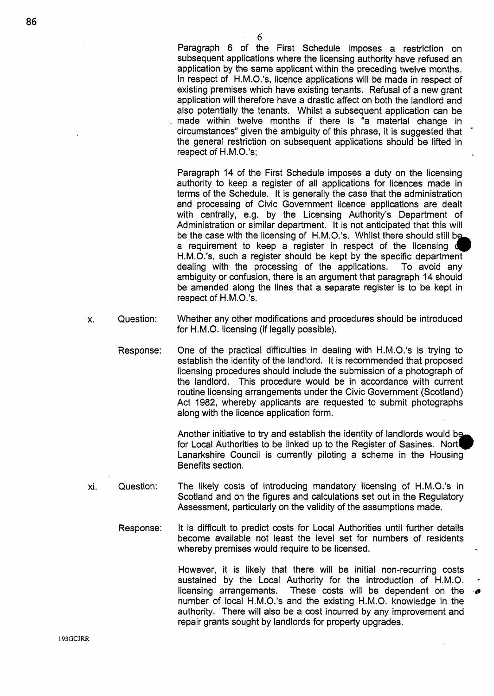Paragraph 6 of the First Schedule imposes a restriction on subsequent applications where the licensing authority have refused an application by the same applicant within the preceding twelve months. In respect of H.M.O.'s, licence applications will be made in respect of existing premises which have existing tenants. Refusal of a new grant application will therefore have a drastic affect on both the landlord and also potentially the tenants. Whilst a subsequent application can be . made within twelve months if there is "a material change in circumstances" given the ambiguity of this phrase, it is suggested that the general restriction on subsequent applications should be lifted in respect of H.M.O.'s;

-

Paragraph 14 of the First Schedule imposes a duty on the licensing authority to keep a register of all applications for licences made in terms of the Schedule. It is generally the case that the administration and processing of Civic Government licence applications are dealt with centrally, e.g. by the Licensing Authority's Department of Administration or similar department. It is not anticipated that this will be the case with the licensing of H.M.O.'s. Whilst there should still b H.M.O.'s, such a register should be kept by the specific department dealing with the processing of the applications. **To** avoid any ambiguity or confusion, there is an argument that paragraph 14 should be amended along the lines that a separate register is to be kept in respect of H.M.O.'s. a requirement to keep a register in respect of the licensing  $d$ 

- X. Question: Whether any other modifications and procedures should be introduced for H.M.O. licensing (if legally possible).
	- Response: One of the practical difficulties in dealing with H.M.O.'s is trying to establish the identity of the landlord. It is recommended that proposed licensing procedures should include the submission of a photograph of the landlord. This procedure would be in accordance with current routine licensing arrangements under the Civic Government (Scotland) Act 1982, whereby applicants are requested to submit photographs along with the licence application form.

Another initiative to try and establish the identity of landlords would b for Local Authorities to be linked up to the Register of Sasines. Nort Lanarkshire Council is currently piloting a scheme in the Housing Benefits section. *b* 

- xi. Question: The likely costs of introducing mandatory licensing of H.M.O.'s in Scotland and on the figures and calculations set out in the Regulatory Assessment, particularly on the validity of the assumptions made.
	- Response: It is difficult to predict costs for Local Authorities until further details become available not least the level set for numbers of residents whereby premises would require to be licensed.

However, it is likely that there will be initial non-recurring costs sustained by the Local Authority for the introduction of H.M.O. licensing arrangements. These costs will be dependent on the number of local H.M.O.'s and the existing H.M.O. knowledge in the authority. There will also be a cost incurred by any improvement and repair grants sought by landlords for property upgrades.